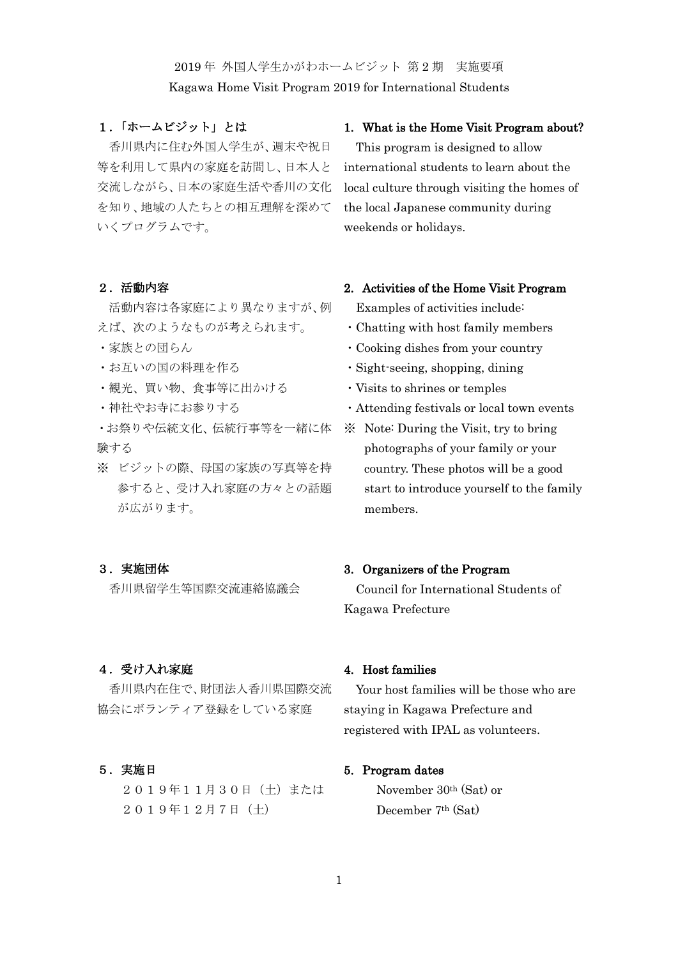2019 年 外国人学生かがわホームビジット 第 2 期 実施要項

Kagawa Home Visit Program 2019 for International Students

# 1.「ホームビジット」とは

香川県内に住む外国人学生が、週末や祝日 等を利用して県内の家庭を訪問し、日本人と 交流しながら、日本の家庭生活や香川の文化 を知り、地域の人たちとの相互理解を深めて いくプログラムです。

#### 2.活動内容

活動内容は各家庭により異なりますが、例 えば、次のようなものが考えられます。

- ・家族との団らん
- ・お互いの国の料理を作る
- ・観光、買い物、食事等に出かける
- ・神社やお寺にお参りする

・お祭りや伝統文化、伝統行事等を一緒に体 験する

※ ビジットの際、母国の家族の写真等を持 参すると、受け入れ家庭の方々との話題 が広がります。

#### 3.実施団体

香川県留学生等国際交流連絡協議会

# 4.受け入れ家庭

香川県内在住で、財団法人香川県国際交流 協会にボランティア登録をしている家庭

#### 5.実施日

2019年11月30日(土)または 2019年12月7日(土)

#### 1. What is the Home Visit Program about?

This program is designed to allow international students to learn about the local culture through visiting the homes of the local Japanese community during weekends or holidays.

### 2. Activities of the Home Visit Program

Examples of activities include:

- ・Chatting with host family members
- ・Cooking dishes from your country
- ・Sight-seeing, shopping, dining
- ・Visits to shrines or temples
- ・Attending festivals or local town events
- ※ Note: During the Visit, try to bring photographs of your family or your country. These photos will be a good start to introduce yourself to the family members.

#### 3. Organizers of the Program

Council for International Students of Kagawa Prefecture

# 4. Host families

Your host families will be those who are staying in Kagawa Prefecture and registered with IPAL as volunteers.

#### 5. Program dates

November 30th (Sat) or December 7th (Sat)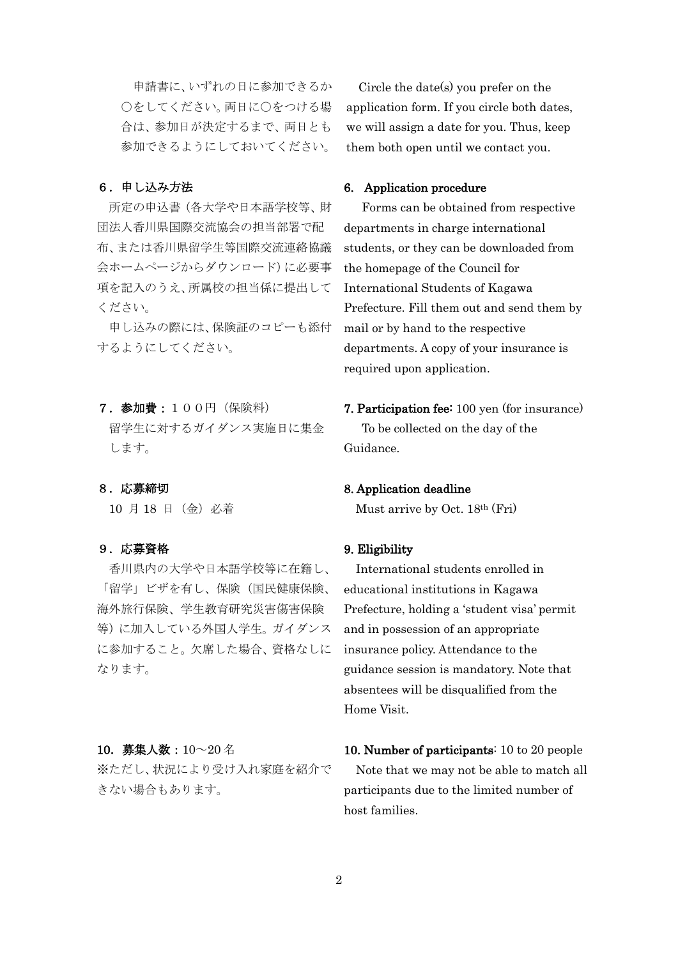申請書に、いずれの日に参加できるか ○をしてください。両日に○をつける場 合は、参加日が決定するまで、両日とも 参加できるようにしておいてください。

# 6.申し込み方法

所定の申込書(各大学や日本語学校等、財 団法人香川県国際交流協会の担当部署で配 布、または香川県留学生等国際交流連絡協議 会ホームページからダウンロード)に必要事 項を記入のうえ、所属校の担当係に提出して ください。

申し込みの際には、保険証のコピーも添付 するようにしてください。

# 7.参加費:100円(保険料)

留学生に対するガイダンス実施日に集金 します。

#### 8.応募締切

10 月 18 日(金)必着

## 9.応募資格

香川県内の大学や日本語学校等に在籍し、 「留学」ビザを有し、保険(国民健康保険、 海外旅行保険、学生教育研究災害傷害保険 等)に加入している外国人学生。ガイダンス に参加すること。欠席した場合、資格なしに なります。

### 10.募集人数:10~20 名

※ただし、状況により受け入れ家庭を紹介で きない場合もあります。

Circle the date(s) you prefer on the application form. If you circle both dates, we will assign a date for you. Thus, keep them both open until we contact you.

### 6. Application procedure

Forms can be obtained from respective departments in charge international students, or they can be downloaded from the homepage of the Council for International Students of Kagawa Prefecture. Fill them out and send them by mail or by hand to the respective departments. A copy of your insurance is required upon application.

# 7. Participation fee: 100 yen (for insurance) To be collected on the day of the Guidance.

#### 8. Application deadline

Must arrive by Oct. 18th (Fri)

#### 9. Eligibility

International students enrolled in educational institutions in Kagawa Prefecture, holding a 'student visa' permit and in possession of an appropriate insurance policy. Attendance to the guidance session is mandatory. Note that absentees will be disqualified from the Home Visit.

10. Number of participants: 10 to 20 people Note that we may not be able to match all participants due to the limited number of host families.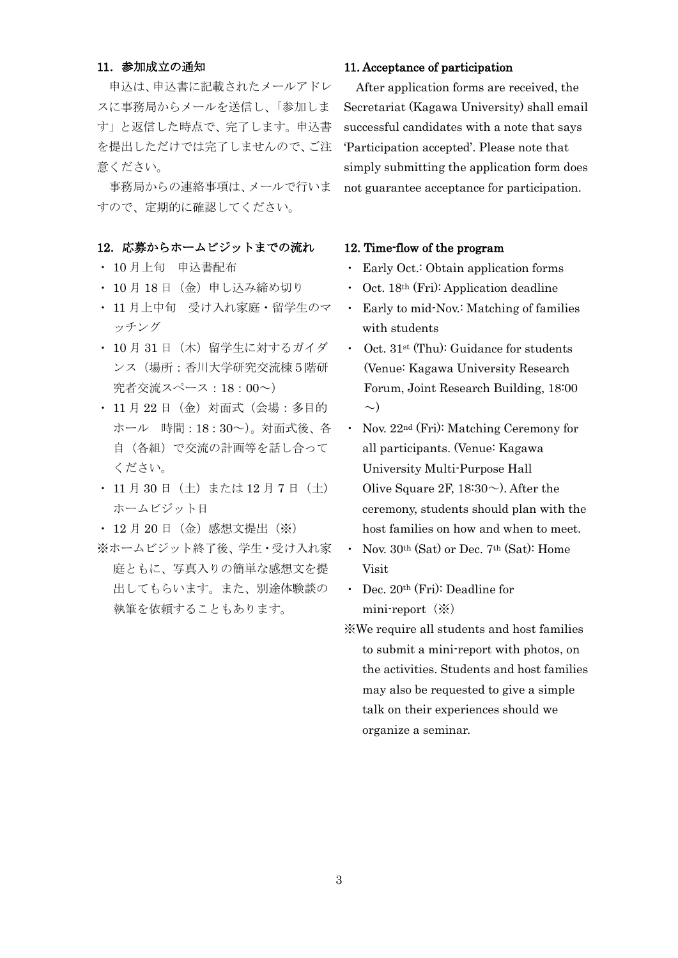#### 11.参加成立の通知

申込は、申込書に記載されたメールアドレ スに事務局からメールを送信し、「参加しま す」と返信した時点で、完了します。申込書 を提出しただけでは完了しませんので、ご注 意ください。

事務局からの連絡事項は、メールで行いま すので、定期的に確認してください。

# 12. 応募からホームビジットまでの流れ

- ・ 10 月上旬 申込書配布
- ・ 10 月 18 日(金)申し込み締め切り
- ・ 11 月上中旬 受け入れ家庭・留学生のマ ッチング
- ・ 10 月 31 日(木)留学生に対するガイダ ンス(場所:香川大学研究交流棟5階研 究者交流スペース:18:00~)
- ・ 11 月 22 日(金)対面式(会場:多目的 ホール 時間:18:30~)。対面式後、各 自(各組)で交流の計画等を話し合って ください。
- 11 月 30 日(土)または 12 月 7 日(土) ホームビジット日
- ・ 12 月 20 日(金)感想文提出(※)
- ※ホームビジット終了後、学生・受け入れ家 庭ともに、写真入りの簡単な感想文を提 出してもらいます。また、別途体験談の 執筆を依頼することもあります。

# 11. Acceptance of participation

After application forms are received, the Secretariat (Kagawa University) shall email successful candidates with a note that says 'Participation accepted'. Please note that simply submitting the application form does not guarantee acceptance for participation.

# 12. Time-flow of the program

- ・ Early Oct.: Obtain application forms
- ・ Oct. 18th (Fri): Application deadline
- Early to mid-Nov.: Matching of families with students
- ・ Oct. 31st (Thu): Guidance for students (Venue: Kagawa University Research Forum, Joint Research Building, 18:00  $\sim)$
- ・ Nov. 22nd (Fri): Matching Ceremony for all participants. (Venue: Kagawa University Multi-Purpose Hall Olive Square 2F,  $18:30\sim$ ). After the ceremony, students should plan with the host families on how and when to meet.
- Nov. 30<sup>th</sup> (Sat) or Dec. 7<sup>th</sup> (Sat): Home Visit
- ・ Dec. 20th (Fri): Deadline for mini-report $(\%)$
- ※We require all students and host families to submit a mini-report with photos, on the activities. Students and host families may also be requested to give a simple talk on their experiences should we organize a seminar.